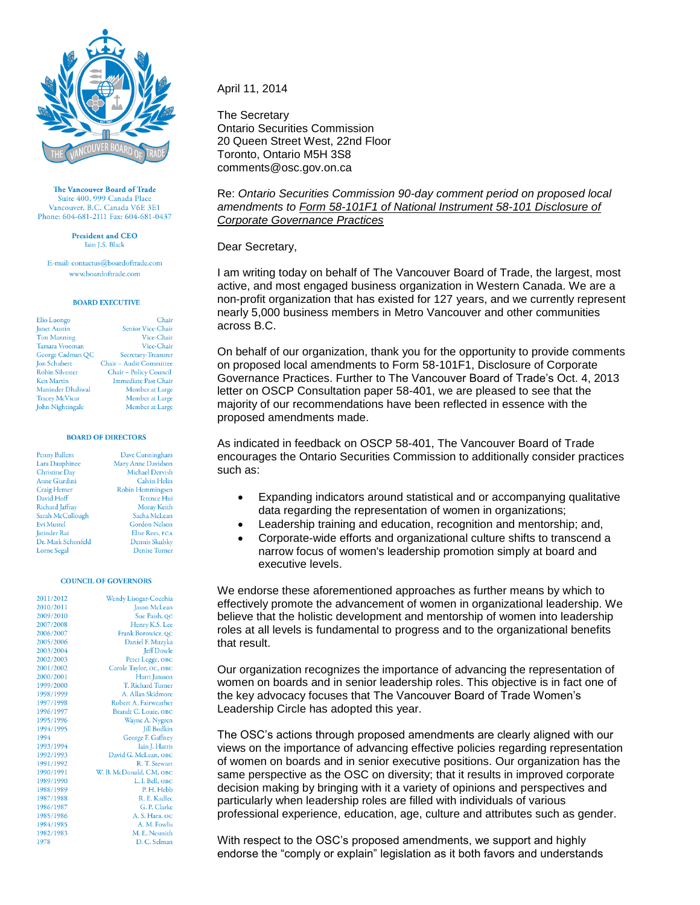

The Vancouver Board of Trade Suite 400, 999 Canada Place Vancouver, B.C. Canada V6E 3E1 Phone: 604-681-2111 Fax: 604-681-0437

> **President and CEO** Iain J.S. Black

E-mail: contactus@boardoftrade.com www.boardoftrade.com

# **BOARD EXECUTIVE**

| Elio Luongo            | Chair                       |
|------------------------|-----------------------------|
| <b>Janet Austin</b>    | Senior Vice-Chair           |
| <b>Tim Manning</b>     | Vice-Chair                  |
| Tamara Vrooman         | Vice-Chair                  |
| George Cadman QC       | Secretary-Treasurer         |
| <b>Jon Schubert</b>    | Chair - Audit Committee     |
| <b>Robin Silvester</b> | Chair - Policy Council      |
| <b>Ken Martin</b>      | <b>Immediate Past Chair</b> |
| Maninder Dhaliwal      | Member at Large             |
| <b>Tracey McVicar</b>  | Member at Large             |
| John Nightingale       | Member at Large             |

### **BOARD OF DIRECTORS**

| Penny Ballem         | Dave Cunningham        |
|----------------------|------------------------|
| Lara Dauphinee       | Mary Anne Davidson     |
| <b>Christine Day</b> | <b>Michael Dervish</b> |
| <b>Anne Giardini</b> | <b>Calvin Helin</b>    |
| Craig Hemer          | Robin Hemmingsen       |
| David Hoff           | <b>Terence Hui</b>     |
| Richard Jaffray      | Moray Keith            |
| Sarah McCullough     | Sacha McLean           |
| <b>Evi Mustel</b>    | <b>Gordon Nelson</b>   |
| Jatinder Rai         | <b>Elise Rees, FCA</b> |
| Dr. Mark Schonfeld   | Dennis Skulsky         |
| Lorne Segal          | <b>Denise Turner</b>   |
|                      |                        |

## **COUNCIL OF GOVERNORS**

| 2011/2012 | Wendy Lisogar-Cocchia   |
|-----------|-------------------------|
| 2010/2011 | <b>Jason McLean</b>     |
| 2009/2010 | Sue Paish, QC           |
| 2007/2008 | Henry K.S. Lee          |
| 2006/2007 | Frank Borowicz, QC      |
| 2005/2006 | Daniel F. Muzyka        |
| 2003/2004 | <b>Jeff Dowle</b>       |
| 2002/2003 | Peter Legge, OBC        |
| 2001/2002 | Carole Taylor, OC, OBC  |
| 2000/2001 | Harri Jansson           |
| 1999/2000 | T. Richard Turner       |
| 1998/1999 | A. Allan Skidmore       |
| 1997/1998 | Robert A. Fairweather   |
| 1996/1997 | Brandt C. Louie, OBC    |
| 1995/1996 | Wayne A. Nygren         |
| 1994/1995 | <b>Jill Bodkin</b>      |
| 1994      | George F. Gaffney       |
| 1993/1994 | Iain J. Harris          |
| 1992/1993 | David G. McLean, OBC    |
| 1991/1992 | R. T. Stewart           |
| 1990/1991 | W. B. McDonald, CM, OBC |
| 1989/1990 | L. I. Bell, OBC         |
| 1988/1989 | P.H. Hebb               |
| 1987/1988 | R. E. Kadlec            |
| 1986/1987 | G. P. Clarke            |
| 1985/1986 | A. S. Hara, oc          |
| 1984/1985 | A. M. Fowlis            |
| 1982/1983 | M. E. Nesmith           |
| 1978      | D. C. Selman            |

# April 11, 2014

The Secretary Ontario Securities Commission 20 Queen Street West, 22nd Floor Toronto, Ontario M5H 3S8 comments@osc.gov.on.ca

Re: *Ontario Securities Commission 90-day comment period on proposed local amendments to Form 58-101F1 of National Instrument 58-101 Disclosure of Corporate Governance Practices*

Dear Secretary,

I am writing today on behalf of The Vancouver Board of Trade, the largest, most active, and most engaged business organization in Western Canada. We are a non-profit organization that has existed for 127 years, and we currently represent nearly 5,000 business members in Metro Vancouver and other communities across B.C.

On behalf of our organization, thank you for the opportunity to provide comments on proposed local amendments to Form 58-101F1, Disclosure of Corporate Governance Practices. Further to The Vancouver Board of Trade's Oct. 4, 2013 letter on OSCP Consultation paper 58-401, we are pleased to see that the majority of our recommendations have been reflected in essence with the proposed amendments made.

As indicated in feedback on OSCP 58-401, The Vancouver Board of Trade encourages the Ontario Securities Commission to additionally consider practices such as:

- Expanding indicators around statistical and or accompanying qualitative data regarding the representation of women in organizations;
- Leadership training and education, recognition and mentorship; and,
- Corporate-wide efforts and organizational culture shifts to transcend a narrow focus of women's leadership promotion simply at board and executive levels.

We endorse these aforementioned approaches as further means by which to effectively promote the advancement of women in organizational leadership. We believe that the holistic development and mentorship of women into leadership roles at all levels is fundamental to progress and to the organizational benefits that result.

Our organization recognizes the importance of advancing the representation of women on boards and in senior leadership roles. This objective is in fact one of the key advocacy focuses that The Vancouver Board of Trade Women's Leadership Circle has adopted this year.

The OSC's actions through proposed amendments are clearly aligned with our views on the importance of advancing effective policies regarding representation of women on boards and in senior executive positions. Our organization has the same perspective as the OSC on diversity; that it results in improved corporate decision making by bringing with it a variety of opinions and perspectives and particularly when leadership roles are filled with individuals of various professional experience, education, age, culture and attributes such as gender.

With respect to the OSC's proposed amendments, we support and highly endorse the "comply or explain" legislation as it both favors and understands